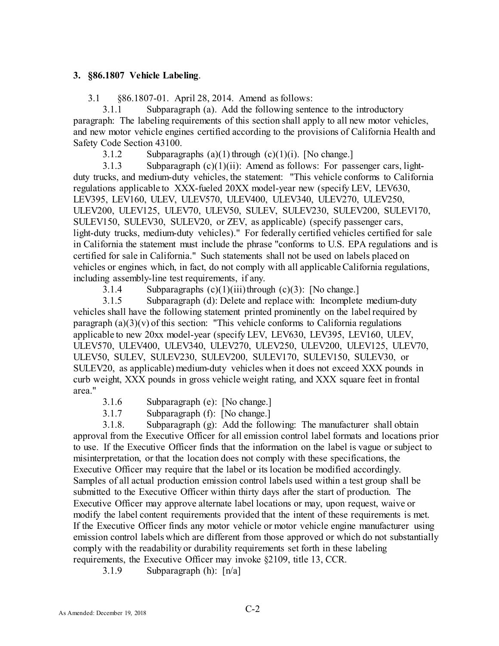## 3. §86.1807 Vehicle Labeling.

3.1 §86.1807-01. April 28, 2014. Amend as follows:

3.1.1 Subparagraph (a). Add the following sentence to the introductory paragraph: The labeling requirements of this section shall apply to all new motor vehicles, and new motor vehicle engines certified according to the provisions of California Health and Safety Code Section 43100.

3.1.2 Subparagraphs (a)(1) through  $(c)(1)(i)$ . [No change.]

3.1.3 Subparagraph  $(c)(1)(ii)$ : Amend as follows: For passenger cars, lightduty trucks, and medium-duty vehicles, the statement: "This vehicle conforms to California regulations applicable to XXX-fueled 20XX model-year new (specify LEV, LEV630, LEV395, LEV160, ULEV, ULEV570, ULEV400, ULEV340, ULEV270, ULEV250, ULEV200, ULEV125, ULEV70, ULEV50, SULEV, SULEV230, SULEV200, SULEV170, SULEV150, SULEV30, SULEV20, or ZEV, as applicable) (specify passenger cars, light-duty trucks, medium-duty vehicles)." For federally certified vehicles certified for sale in California the statement must include the phrase "conforms to U.S. EPA regulations and is certified for sale in California." Such statements shall not be used on labels placed on vehicles or engines which, in fact, do not comply with all applicable California regulations, including assembly-line test requirements, if any.

3.1.4 Subparagraphs  $(c)(1)(iii)$  through  $(c)(3)$ : [No change.]

3.1.5 Subparagraph (d): Delete and replace with: Incomplete medium-duty vehicles shall have the following statement printed prominently on the label required by paragraph  $(a)(3)(v)$  of this section: "This vehicle conforms to California regulations applicable to new 20xx model-year (specify LEV, LEV630, LEV395, LEV160, ULEV, ULEV570, ULEV400, ULEV340, ULEV270, ULEV250, ULEV200, ULEV125, ULEV70, ULEV50, SULEV, SULEV230, SULEV200, SULEV170, SULEV150, SULEV30, or SULEV20, as applicable) medium-duty vehicles when it does not exceed XXX pounds in curb weight, XXX pounds in gross vehicle weight rating, and XXX square feet in frontal area."

- 3.1.6 Subparagraph (e): [No change.]
- 3.1.7 Subparagraph (f): [No change.]

3.1.8. Subparagraph (g): Add the following: The manufacturer shall obtain approval from the Executive Officer for all emission control label formats and locations prior to use. If the Executive Officer finds that the information on the label is vague or subject to misinterpretation, or that the location does not comply with these specifications, the Executive Officer may require that the label or its location be modified accordingly. Samples of all actual production emission control labels used within a test group shall be submitted to the Executive Officer within thirty days after the start of production. The Executive Officer may approve alternate label locations or may, upon request, waive or modify the label content requirements provided that the intent of these requirements is met. If the Executive Officer finds any motor vehicle or motor vehicle engine manufacturer using emission control labels which are different from those approved or which do not substantially comply with the readability or durability requirements set forth in these labeling requirements, the Executive Officer may invoke §2109, title 13, CCR.

3.1.9 Subparagraph (h): [n/a]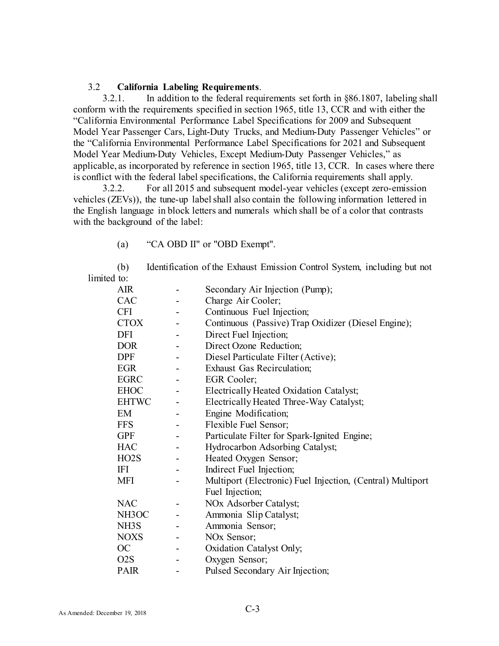## 3.2 California Labeling Requirements.

3.2.1. In addition to the federal requirements set forth in §86.1807, labeling shall conform with the requirements specified in section 1965, title 13, CCR and with either the "California Environmental Performance Label Specifications for 2009 and Subsequent Model Year Passenger Cars, Light-Duty Trucks, and Medium-Duty Passenger Vehicles" or the "California Environmental Performance Label Specifications for 2021 and Subsequent Model Year Medium-Duty Vehicles, Except Medium-Duty Passenger Vehicles," as applicable, as incorporated by reference in section 1965, title 13, CCR. In cases where there is conflict with the federal label specifications, the California requirements shall apply.

3.2.2. For all 2015 and subsequent model-year vehicles (except zero-emission vehicles (ZEVs)), the tune-up label shall also contain the following information lettered in the English language in block letters and numerals which shall be of a color that contrasts with the background of the label:

(a) "CA OBD II" or "OBD Exempt".

(b) Identification of the Exhaust Emission Control System, including but not limited to:

| <b>AIR</b>        | Secondary Air Injection (Pump);                            |
|-------------------|------------------------------------------------------------|
| <b>CAC</b>        | Charge Air Cooler;                                         |
| <b>CFI</b>        | Continuous Fuel Injection;                                 |
| <b>CTOX</b>       | Continuous (Passive) Trap Oxidizer (Diesel Engine);        |
| <b>DFI</b>        | Direct Fuel Injection;                                     |
| <b>DOR</b>        | Direct Ozone Reduction;                                    |
| <b>DPF</b>        | Diesel Particulate Filter (Active);                        |
| <b>EGR</b>        | <b>Exhaust Gas Recirculation;</b>                          |
| <b>EGRC</b>       | EGR Cooler;                                                |
| <b>EHOC</b>       | Electrically Heated Oxidation Catalyst;                    |
| <b>EHTWC</b>      | Electrically Heated Three-Way Catalyst;                    |
| EM                | Engine Modification;                                       |
| <b>FFS</b>        | Flexible Fuel Sensor;                                      |
| <b>GPF</b>        | Particulate Filter for Spark-Ignited Engine;               |
| <b>HAC</b>        | Hydrocarbon Adsorbing Catalyst;                            |
| HO <sub>2</sub> S | Heated Oxygen Sensor;                                      |
| ΙFΙ               | Indirect Fuel Injection;                                   |
| <b>MFI</b>        | Multiport (Electronic) Fuel Injection, (Central) Multiport |
|                   | Fuel Injection;                                            |
| <b>NAC</b>        | NOx Adsorber Catalyst;                                     |
| NH3OC             | Ammonia Slip Catalyst;                                     |
| NH3S              | Ammonia Sensor;                                            |
| <b>NOXS</b>       | NO <sub>x</sub> Sensor;                                    |
| OC                | Oxidation Catalyst Only;                                   |
| O <sub>2</sub> S  | Oxygen Sensor;                                             |
| <b>PAIR</b>       | Pulsed Secondary Air Injection;                            |